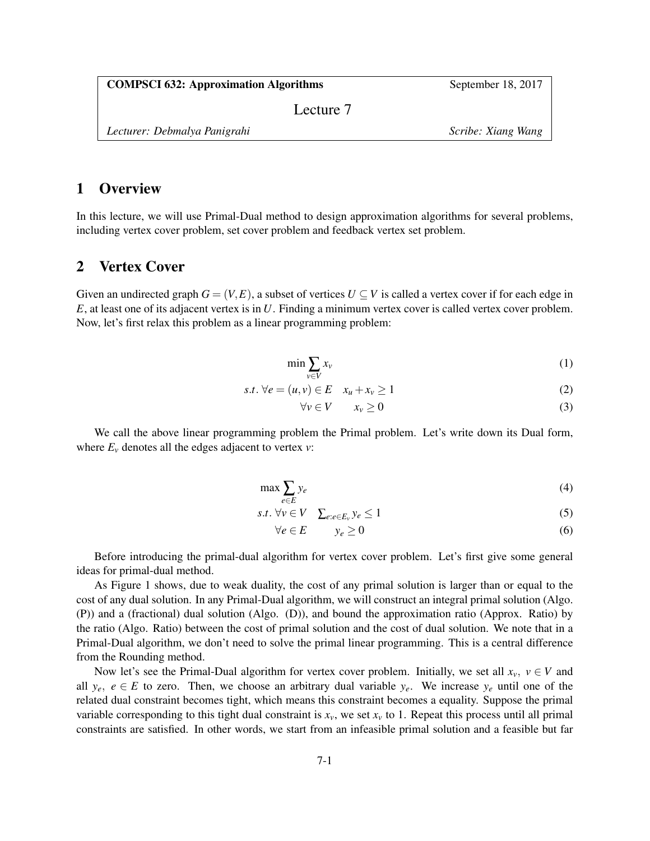| <b>COMPSCI 632: Approximation Algorithms</b> | September 18, 2017 |
|----------------------------------------------|--------------------|
| Lecture 7                                    |                    |

*Lecturer: Debmalya Panigrahi Scribe: Xiang Wang*

# 1 Overview

In this lecture, we will use Primal-Dual method to design approximation algorithms for several problems, including vertex cover problem, set cover problem and feedback vertex set problem.

### 2 Vertex Cover

Given an undirected graph  $G = (V, E)$ , a subset of vertices  $U \subseteq V$  is called a vertex cover if for each edge in *E*, at least one of its adjacent vertex is in *U*. Finding a minimum vertex cover is called vertex cover problem. Now, let's first relax this problem as a linear programming problem:

$$
\min \sum_{\nu \in V} x_{\nu} \tag{1}
$$

$$
s.t. \forall e = (u, v) \in E \quad x_u + x_v \ge 1 \tag{2}
$$

$$
\forall v \in V \qquad x_v \ge 0 \tag{3}
$$

We call the above linear programming problem the Primal problem. Let's write down its Dual form, where  $E_\nu$  denotes all the edges adjacent to vertex  $\nu$ :

$$
\max \sum_{e \in E} y_e \tag{4}
$$

$$
s.t. \forall v \in V \quad \sum_{e:e \in E_v} y_e \le 1 \tag{5}
$$

$$
\forall e \in E \qquad y_e \ge 0 \tag{6}
$$

Before introducing the primal-dual algorithm for vertex cover problem. Let's first give some general ideas for primal-dual method.

As Figure 1 shows, due to weak duality, the cost of any primal solution is larger than or equal to the cost of any dual solution. In any Primal-Dual algorithm, we will construct an integral primal solution (Algo. (P)) and a (fractional) dual solution (Algo. (D)), and bound the approximation ratio (Approx. Ratio) by the ratio (Algo. Ratio) between the cost of primal solution and the cost of dual solution. We note that in a Primal-Dual algorithm, we don't need to solve the primal linear programming. This is a central difference from the Rounding method.

Now let's see the Primal-Dual algorithm for vertex cover problem. Initially, we set all  $x_y$ ,  $y \in V$  and all  $y_e$ ,  $e \in E$  to zero. Then, we choose an arbitrary dual variable  $y_e$ . We increase  $y_e$  until one of the related dual constraint becomes tight, which means this constraint becomes a equality. Suppose the primal variable corresponding to this tight dual constraint is  $x_v$ , we set  $x_v$  to 1. Repeat this process until all primal constraints are satisfied. In other words, we start from an infeasible primal solution and a feasible but far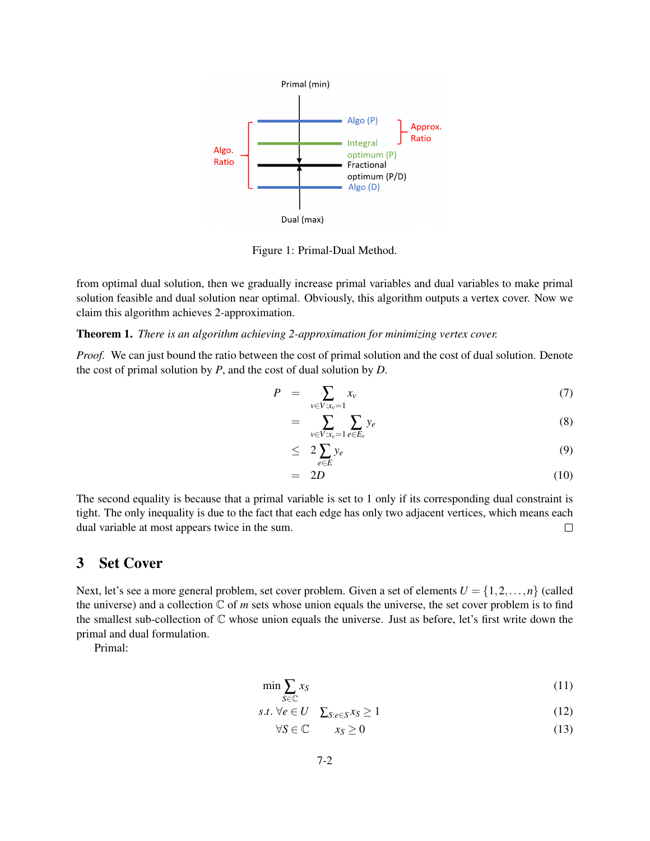

Figure 1: Primal-Dual Method.

from optimal dual solution, then we gradually increase primal variables and dual variables to make primal solution feasible and dual solution near optimal. Obviously, this algorithm outputs a vertex cover. Now we claim this algorithm achieves 2-approximation.

#### Theorem 1. *There is an algorithm achieving 2-approximation for minimizing vertex cover.*

*Proof.* We can just bound the ratio between the cost of primal solution and the cost of dual solution. Denote the cost of primal solution by *P*, and the cost of dual solution by *D*.

$$
P = \sum_{v \in V: x_v = 1} x_v \tag{7}
$$

$$
= \sum_{v \in V: x_v = 1} \sum_{e \in E_v} y_e \tag{8}
$$

$$
\leq 2\sum_{e\in E}y_e\tag{9}
$$

$$
= 2D \tag{10}
$$

The second equality is because that a primal variable is set to 1 only if its corresponding dual constraint is tight. The only inequality is due to the fact that each edge has only two adjacent vertices, which means each dual variable at most appears twice in the sum.  $\Box$ 

### 3 Set Cover

Next, let's see a more general problem, set cover problem. Given a set of elements  $U = \{1, 2, ..., n\}$  (called the universe) and a collection  $\mathbb C$  of *m* sets whose union equals the universe, the set cover problem is to find the smallest sub-collection of C whose union equals the universe. Just as before, let's first write down the primal and dual formulation.

Primal:

$$
\min \sum_{S \in \mathbb{C}} x_S \tag{11}
$$

$$
s.t. \forall e \in U \quad \sum_{S: e \in S} x_S \ge 1 \tag{12}
$$

$$
\forall S \in \mathbb{C} \qquad x_S \ge 0 \tag{13}
$$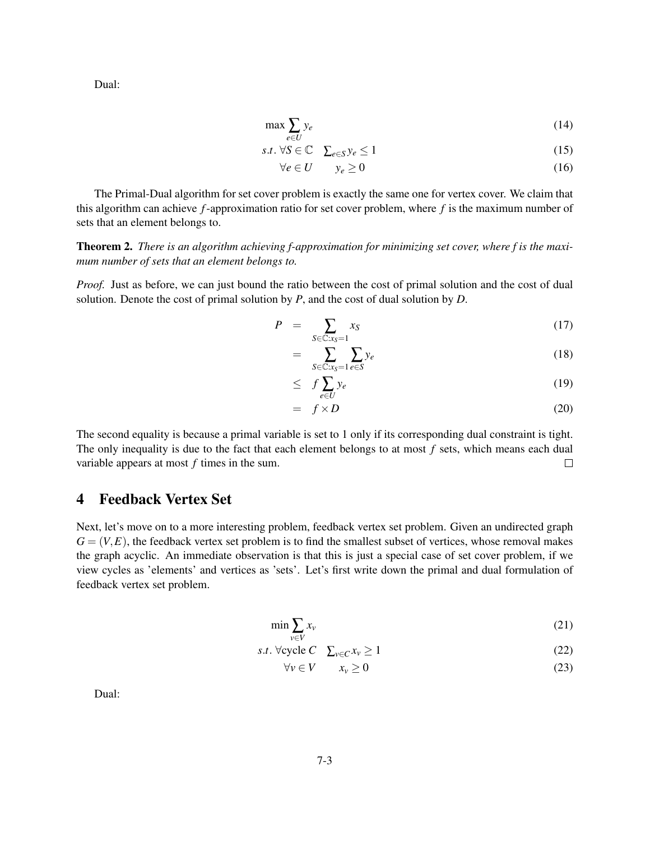Dual:

$$
\max \sum_{e \in U} y_e \tag{14}
$$

$$
s.t. \forall S \in \mathbb{C} \quad \sum_{e \in S} y_e \le 1 \tag{15}
$$

$$
\forall e \in U \qquad y_e \ge 0 \tag{16}
$$

The Primal-Dual algorithm for set cover problem is exactly the same one for vertex cover. We claim that this algorithm can achieve *f*-approximation ratio for set cover problem, where *f* is the maximum number of sets that an element belongs to.

Theorem 2. *There is an algorithm achieving f-approximation for minimizing set cover, where f is the maximum number of sets that an element belongs to.*

*Proof.* Just as before, we can just bound the ratio between the cost of primal solution and the cost of dual solution. Denote the cost of primal solution by *P*, and the cost of dual solution by *D*.

$$
P = \sum_{S \in \mathbb{C}:x_S=1} x_S \tag{17}
$$

$$
= \sum_{S \in \mathbb{C}:x_S=1} \sum_{e \in S} y_e \tag{18}
$$

$$
\leq f \sum_{e \in U} y_e \tag{19}
$$

$$
= f \times D \tag{20}
$$

The second equality is because a primal variable is set to 1 only if its corresponding dual constraint is tight. The only inequality is due to the fact that each element belongs to at most *f* sets, which means each dual variable appears at most *f* times in the sum.  $\Box$ 

# 4 Feedback Vertex Set

Next, let's move on to a more interesting problem, feedback vertex set problem. Given an undirected graph  $G = (V, E)$ , the feedback vertex set problem is to find the smallest subset of vertices, whose removal makes the graph acyclic. An immediate observation is that this is just a special case of set cover problem, if we view cycles as 'elements' and vertices as 'sets'. Let's first write down the primal and dual formulation of feedback vertex set problem.

$$
\min \sum_{v \in V} x_v \tag{21}
$$

$$
s.t. \forall \text{cycle } C \quad \sum_{v \in C} x_v \ge 1 \tag{22}
$$

$$
\forall v \in V \qquad x_v \ge 0 \tag{23}
$$

Dual: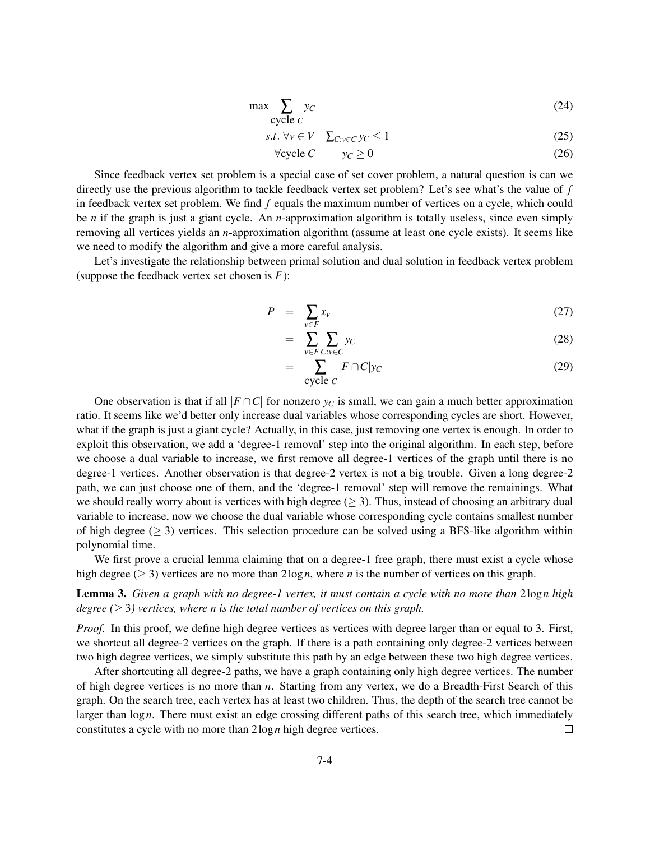$$
\max \sum_{\text{cycle } c} y_c \tag{24}
$$

$$
s.t. \forall v \in V \quad \sum_{C:v \in C} y_C \le 1 \tag{25}
$$

$$
\forall \text{cycle } C \qquad y_C \ge 0 \tag{26}
$$

Since feedback vertex set problem is a special case of set cover problem, a natural question is can we directly use the previous algorithm to tackle feedback vertex set problem? Let's see what's the value of *f* in feedback vertex set problem. We find *f* equals the maximum number of vertices on a cycle, which could be *n* if the graph is just a giant cycle. An *n*-approximation algorithm is totally useless, since even simply removing all vertices yields an *n*-approximation algorithm (assume at least one cycle exists). It seems like we need to modify the algorithm and give a more careful analysis.

Let's investigate the relationship between primal solution and dual solution in feedback vertex problem (suppose the feedback vertex set chosen is *F*):

$$
P = \sum_{v \in F} x_v \tag{27}
$$

$$
= \sum_{v \in F} \sum_{C:v \in C} y_C \tag{28}
$$

$$
= \sum_{\text{cycle } c} |F \cap C|y_C \tag{29}
$$

One observation is that if all  $|F \cap C|$  for nonzero  $y_C$  is small, we can gain a much better approximation ratio. It seems like we'd better only increase dual variables whose corresponding cycles are short. However, what if the graph is just a giant cycle? Actually, in this case, just removing one vertex is enough. In order to exploit this observation, we add a 'degree-1 removal' step into the original algorithm. In each step, before we choose a dual variable to increase, we first remove all degree-1 vertices of the graph until there is no degree-1 vertices. Another observation is that degree-2 vertex is not a big trouble. Given a long degree-2 path, we can just choose one of them, and the 'degree-1 removal' step will remove the remainings. What we should really worry about is vertices with high degree ( $\geq$  3). Thus, instead of choosing an arbitrary dual variable to increase, now we choose the dual variable whose corresponding cycle contains smallest number of high degree  $(≥ 3)$  vertices. This selection procedure can be solved using a BFS-like algorithm within polynomial time.

We first prove a crucial lemma claiming that on a degree-1 free graph, there must exist a cycle whose high degree (≥ 3) vertices are no more than 2log*n*, where *n* is the number of vertices on this graph.

Lemma 3. *Given a graph with no degree-1 vertex, it must contain a cycle with no more than* 2log*n high degree* ( $\geq$  3) vertices, where *n* is the total number of vertices on this graph.

*Proof.* In this proof, we define high degree vertices as vertices with degree larger than or equal to 3. First, we shortcut all degree-2 vertices on the graph. If there is a path containing only degree-2 vertices between two high degree vertices, we simply substitute this path by an edge between these two high degree vertices.

After shortcuting all degree-2 paths, we have a graph containing only high degree vertices. The number of high degree vertices is no more than *n*. Starting from any vertex, we do a Breadth-First Search of this graph. On the search tree, each vertex has at least two children. Thus, the depth of the search tree cannot be larger than log*n*. There must exist an edge crossing different paths of this search tree, which immediately constitutes a cycle with no more than 2log*n* high degree vertices.  $\Box$